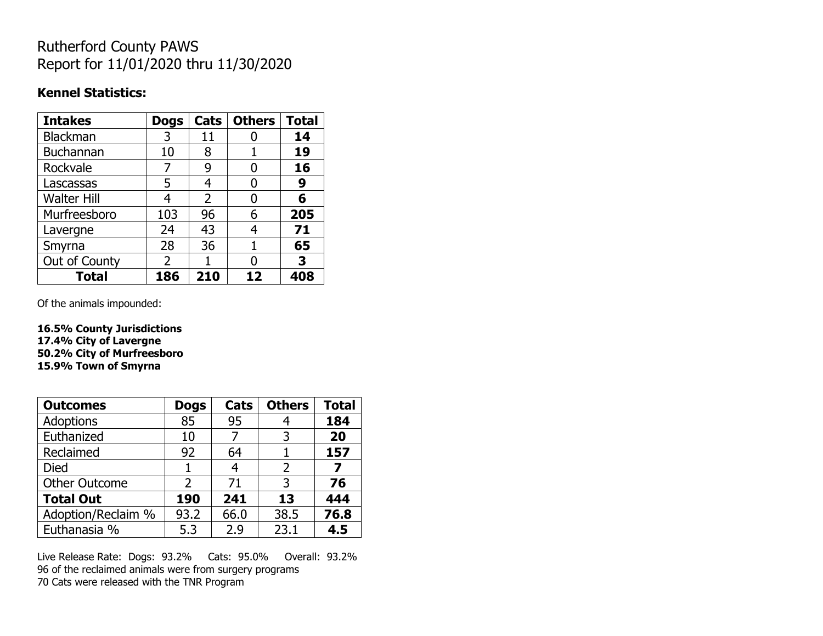## Rutherford County PAWS Report for 11/01/2020 thru 11/30/2020

#### **Kennel Statistics:**

| <b>Intakes</b>     | <b>Dogs</b> | Cats           | <b>Others</b> | <b>Total</b> |
|--------------------|-------------|----------------|---------------|--------------|
| Blackman           | 3           | 11             |               | 14           |
| Buchannan          | 10          | 8              |               | 19           |
| Rockvale           | 7           | 9              | 0             | 16           |
| Lascassas          | 5           | 4              | 0             | 9            |
| <b>Walter Hill</b> | 4           | $\overline{2}$ | O             | 6            |
| Murfreesboro       | 103         | 96             | 6             | 205          |
| Lavergne           | 24          | 43             | 4             | 71           |
| Smyrna             | 28          | 36             |               | 65           |
| Out of County      | 2           |                |               | 3            |
| <b>Total</b>       | 186         | 210            | 12            | 408          |

Of the animals impounded:

**16.5% County Jurisdictions 17.4% City of Lavergne 50.2% City of Murfreesboro 15.9% Town of Smyrna**

| <b>Outcomes</b>      | <b>Dogs</b> | Cats | <b>Others</b> | <b>Total</b> |
|----------------------|-------------|------|---------------|--------------|
| Adoptions            | 85          | 95   |               | 184          |
| Euthanized           | 10          |      | 3             | 20           |
| Reclaimed            | 92          | 64   |               | 157          |
| <b>Died</b>          |             |      | $\mathcal{P}$ | 7            |
| <b>Other Outcome</b> | 2           | 71   | 3             | 76           |
| <b>Total Out</b>     | 190         | 241  | 13            | 444          |
| Adoption/Reclaim %   | 93.2        | 66.0 | 38.5          | 76.8         |
| Euthanasia %         | 5.3         | 2.9  | 23.1          | 4.5          |

Live Release Rate: Dogs: 93.2% Cats: 95.0% Overall: 93.2% 96 of the reclaimed animals were from surgery programs 70 Cats were released with the TNR Program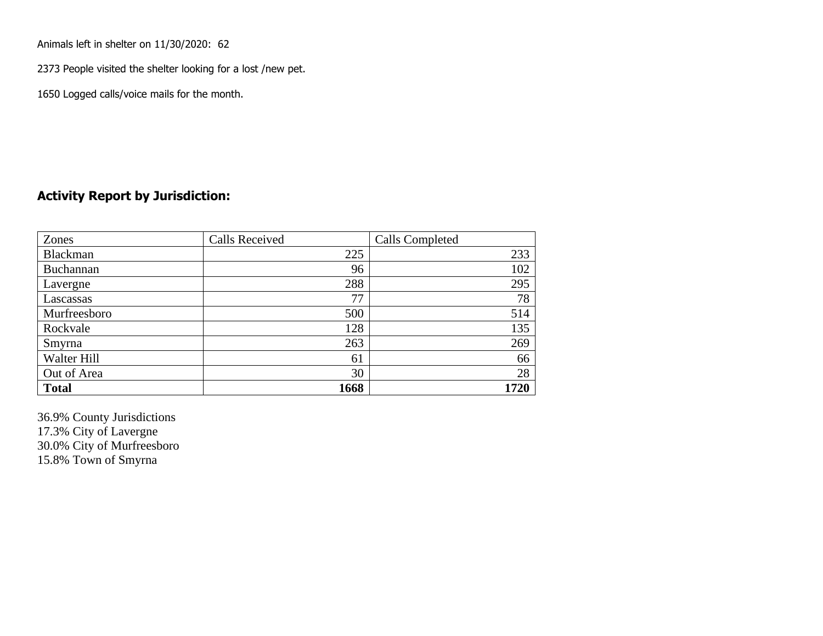Animals left in shelter on 11/30/2020: 62

2373 People visited the shelter looking for a lost /new pet.

1650 Logged calls/voice mails for the month.

#### **Activity Report by Jurisdiction:**

| Zones           | <b>Calls Received</b> | Calls Completed |
|-----------------|-----------------------|-----------------|
| <b>Blackman</b> | 225                   | 233             |
| Buchannan       | 96                    | 102             |
| Lavergne        | 288                   | 295             |
| Lascassas       | 77                    | 78              |
| Murfreesboro    | 500                   | 514             |
| Rockvale        | 128                   | 135             |
| Smyrna          | 263                   | 269             |
| Walter Hill     | 61                    | 66              |
| Out of Area     | 30                    | 28              |
| <b>Total</b>    | 1668                  | 1720            |

36.9% County Jurisdictions 17.3% City of Lavergne 30.0% City of Murfreesboro 15.8% Town of Smyrna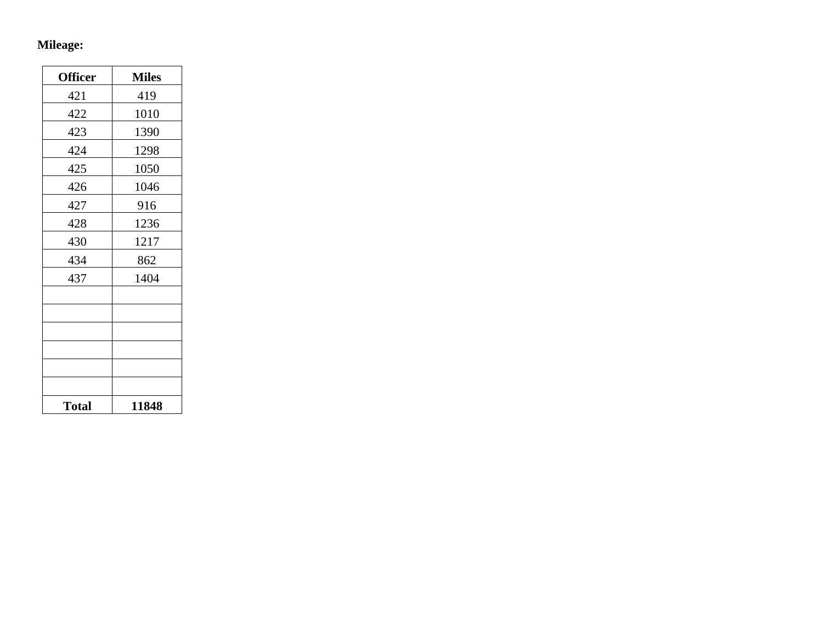# **Mileage:**

| <b>Officer</b> | <b>Miles</b> |
|----------------|--------------|
| 421            | 419          |
| 422            | 1010         |
| 423            | 1390         |
| 424            | 1298         |
| 425            | 1050         |
| 426            | 1046         |
| 427            | 916          |
| 428            | 1236         |
| 430            | 1217         |
| 434            | 862          |
| 437            | 1404         |
|                |              |
|                |              |
|                |              |
|                |              |
|                |              |
|                |              |
| <b>Total</b>   | 11848        |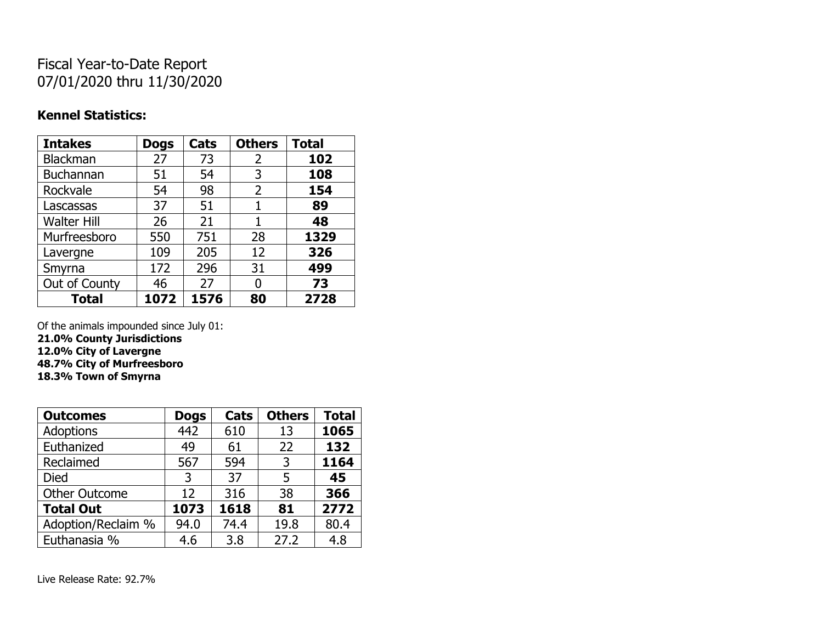## Fiscal Year-to-Date Report 07/01/2020 thru 11/30/2020

### **Kennel Statistics:**

| <b>Intakes</b>     | <b>Dogs</b> | Cats | <b>Others</b> | <b>Total</b> |
|--------------------|-------------|------|---------------|--------------|
| Blackman           | 27          | 73   | 2             | 102          |
| <b>Buchannan</b>   | 51          | 54   | 3             | 108          |
| Rockvale           | 54          | 98   | 2             | 154          |
| Lascassas          | 37          | 51   | 1             | 89           |
| <b>Walter Hill</b> | 26          | 21   | 1             | 48           |
| Murfreesboro       | 550         | 751  | 28            | 1329         |
| Lavergne           | 109         | 205  | 12            | 326          |
| Smyrna             | 172         | 296  | 31            | 499          |
| Out of County      | 46          | 27   | 0             | 73           |
| <b>Total</b>       | 1072        | 1576 | 80            | 2728         |

Of the animals impounded since July 01:

**21.0% County Jurisdictions 12.0% City of Lavergne**

**48.7% City of Murfreesboro**

**18.3% Town of Smyrna**

| <b>Outcomes</b>      | <b>Dogs</b> | Cats | <b>Others</b> | <b>Total</b> |
|----------------------|-------------|------|---------------|--------------|
| <b>Adoptions</b>     | 442         | 610  | 13            | 1065         |
| Euthanized           | 49          | 61   | 22            | 132          |
| Reclaimed            | 567         | 594  | 3             | 1164         |
| Died                 | 3           | 37   | 5             | 45           |
| <b>Other Outcome</b> | 12          | 316  | 38            | 366          |
| <b>Total Out</b>     | 1073        | 1618 | 81            | 2772         |
| Adoption/Reclaim %   | 94.0        | 74.4 | 19.8          | 80.4         |
| Euthanasia %         | 4.6         | 3.8  | 27.2          | 4.8          |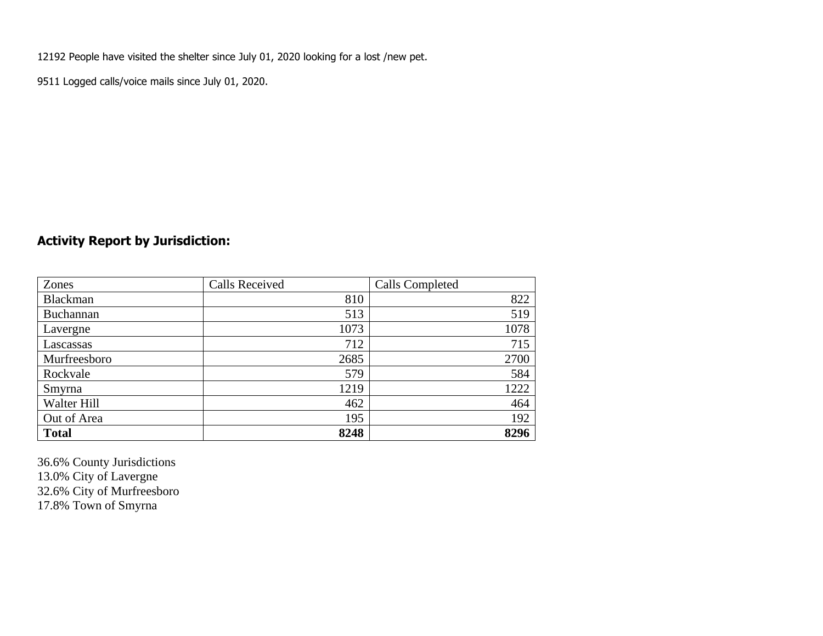12192 People have visited the shelter since July 01, 2020 looking for a lost /new pet.

9511 Logged calls/voice mails since July 01, 2020.

### **Activity Report by Jurisdiction:**

| Zones           | <b>Calls Received</b> | Calls Completed |
|-----------------|-----------------------|-----------------|
| <b>Blackman</b> | 810                   | 822             |
| Buchannan       | 513                   | 519             |
| Lavergne        | 1073                  | 1078            |
| Lascassas       | 712                   | 715             |
| Murfreesboro    | 2685                  | 2700            |
| Rockvale        | 579                   | 584             |
| Smyrna          | 1219                  | 1222            |
| Walter Hill     | 462                   | 464             |
| Out of Area     | 195                   | 192             |
| <b>Total</b>    | 8248                  | 8296            |

36.6% County Jurisdictions 13.0% City of Lavergne 32.6% City of Murfreesboro 17.8% Town of Smyrna